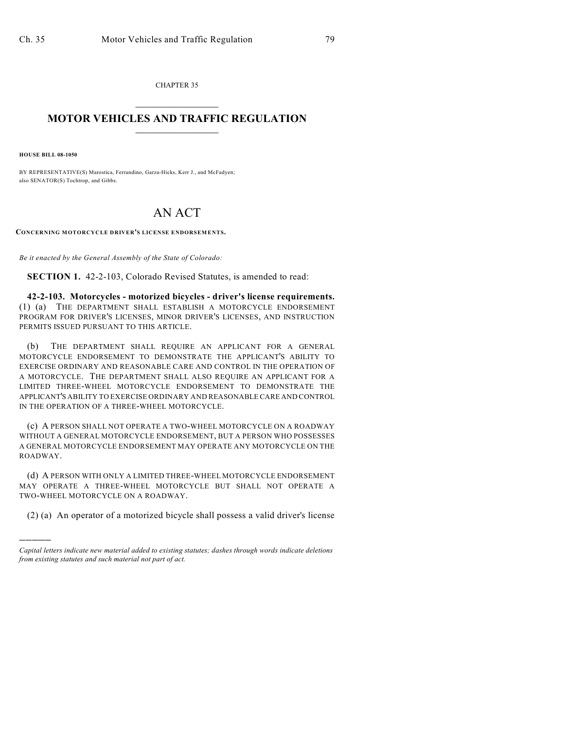CHAPTER 35  $\mathcal{L}_\text{max}$  . The set of the set of the set of the set of the set of the set of the set of the set of the set of the set of the set of the set of the set of the set of the set of the set of the set of the set of the set

## **MOTOR VEHICLES AND TRAFFIC REGULATION**  $\frac{1}{2}$  ,  $\frac{1}{2}$  ,  $\frac{1}{2}$  ,  $\frac{1}{2}$  ,  $\frac{1}{2}$  ,  $\frac{1}{2}$  ,  $\frac{1}{2}$  ,  $\frac{1}{2}$

**HOUSE BILL 08-1050**

)))))

BY REPRESENTATIVE(S) Marostica, Ferrandino, Garza-Hicks, Kerr J., and McFadyen; also SENATOR(S) Tochtrop, and Gibbs.

## AN ACT

**CONCERNING MOTORCYCLE DRIVER'S LICENSE ENDORSEMENTS.**

*Be it enacted by the General Assembly of the State of Colorado:*

**SECTION 1.** 42-2-103, Colorado Revised Statutes, is amended to read:

**42-2-103. Motorcycles - motorized bicycles - driver's license requirements.** (1) (a) THE DEPARTMENT SHALL ESTABLISH A MOTORCYCLE ENDORSEMENT PROGRAM FOR DRIVER'S LICENSES, MINOR DRIVER'S LICENSES, AND INSTRUCTION PERMITS ISSUED PURSUANT TO THIS ARTICLE.

(b) THE DEPARTMENT SHALL REQUIRE AN APPLICANT FOR A GENERAL MOTORCYCLE ENDORSEMENT TO DEMONSTRATE THE APPLICANT'S ABILITY TO EXERCISE ORDINARY AND REASONABLE CARE AND CONTROL IN THE OPERATION OF A MOTORCYCLE. THE DEPARTMENT SHALL ALSO REQUIRE AN APPLICANT FOR A LIMITED THREE-WHEEL MOTORCYCLE ENDORSEMENT TO DEMONSTRATE THE APPLICANT'S ABILITY TO EXERCISE ORDINARY AND REASONABLE CARE AND CONTROL IN THE OPERATION OF A THREE-WHEEL MOTORCYCLE.

(c) A PERSON SHALL NOT OPERATE A TWO-WHEEL MOTORCYCLE ON A ROADWAY WITHOUT A GENERAL MOTORCYCLE ENDORSEMENT, BUT A PERSON WHO POSSESSES A GENERAL MOTORCYCLE ENDORSEMENT MAY OPERATE ANY MOTORCYCLE ON THE ROADWAY.

(d) A PERSON WITH ONLY A LIMITED THREE-WHEEL MOTORCYCLE ENDORSEMENT MAY OPERATE A THREE-WHEEL MOTORCYCLE BUT SHALL NOT OPERATE A TWO-WHEEL MOTORCYCLE ON A ROADWAY.

(2) (a) An operator of a motorized bicycle shall possess a valid driver's license

*Capital letters indicate new material added to existing statutes; dashes through words indicate deletions from existing statutes and such material not part of act.*